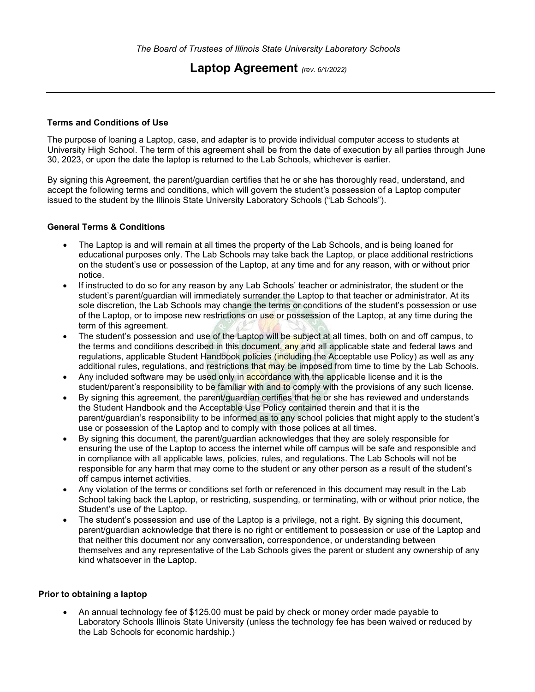# Laptop Agreement (rev. 6/1/2022)

## Terms and Conditions of Use

The purpose of loaning a Laptop, case, and adapter is to provide individual computer access to students at University High School. The term of this agreement shall be from the date of execution by all parties through June 30, 2023, or upon the date the laptop is returned to the Lab Schools, whichever is earlier.

By signing this Agreement, the parent/guardian certifies that he or she has thoroughly read, understand, and accept the following terms and conditions, which will govern the student's possession of a Laptop computer issued to the student by the Illinois State University Laboratory Schools ("Lab Schools").

## General Terms & Conditions

- The Laptop is and will remain at all times the property of the Lab Schools, and is being loaned for educational purposes only. The Lab Schools may take back the Laptop, or place additional restrictions on the student's use or possession of the Laptop, at any time and for any reason, with or without prior notice.
- If instructed to do so for any reason by any Lab Schools' teacher or administrator, the student or the student's parent/guardian will immediately surrender the Laptop to that teacher or administrator. At its sole discretion, the Lab Schools may change the terms or conditions of the student's possession or use of the Laptop, or to impose new restrictions on use or possession of the Laptop, at any time during the term of this agreement.
- The student's possession and use of the Laptop will be subject at all times, both on and off campus, to the terms and conditions described in this document, any and all applicable state and federal laws and regulations, applicable Student Handbook policies *(including the Acceptable use Policy)* as well as any additional rules, regulations, and restrictions that may be imposed from time to time by the Lab Schools.
- Any included software may be used only in accordance with the applicable license and it is the student/parent's responsibility to be familiar with and to comply with the provisions of any such license.
- By signing this agreement, the parent/guardian certifies that he or she has reviewed and understands the Student Handbook and the Acceptable Use Policy contained therein and that it is the parent/guardian's responsibility to be informed as to any school policies that might apply to the student's use or possession of the Laptop and to comply with those polices at all times.
- By signing this document, the parent/guardian acknowledges that they are solely responsible for ensuring the use of the Laptop to access the internet while off campus will be safe and responsible and in compliance with all applicable laws, policies, rules, and regulations. The Lab Schools will not be responsible for any harm that may come to the student or any other person as a result of the student's off campus internet activities.
- Any violation of the terms or conditions set forth or referenced in this document may result in the Lab School taking back the Laptop, or restricting, suspending, or terminating, with or without prior notice, the Student's use of the Laptop.
- The student's possession and use of the Laptop is a privilege, not a right. By signing this document, parent/guardian acknowledge that there is no right or entitlement to possession or use of the Laptop and that neither this document nor any conversation, correspondence, or understanding between themselves and any representative of the Lab Schools gives the parent or student any ownership of any kind whatsoever in the Laptop.

#### Prior to obtaining a laptop

 An annual technology fee of \$125.00 must be paid by check or money order made payable to Laboratory Schools Illinois State University (unless the technology fee has been waived or reduced by the Lab Schools for economic hardship.)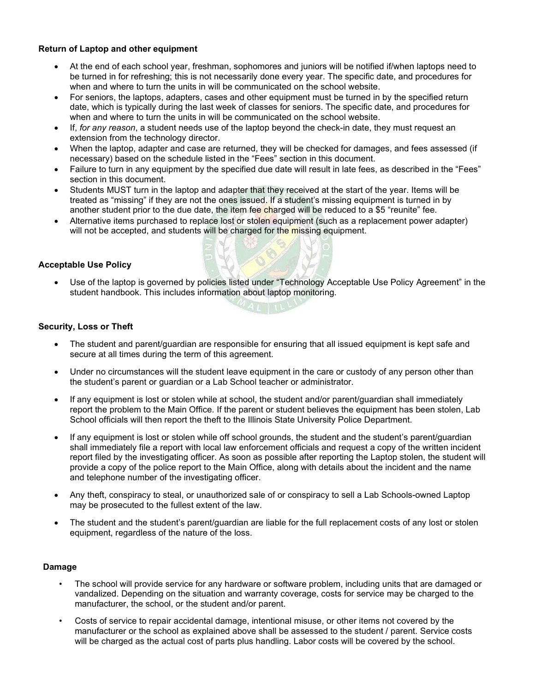# Return of Laptop and other equipment

- At the end of each school year, freshman, sophomores and juniors will be notified if/when laptops need to be turned in for refreshing; this is not necessarily done every year. The specific date, and procedures for when and where to turn the units in will be communicated on the school website.
- For seniors, the laptops, adapters, cases and other equipment must be turned in by the specified return date, which is typically during the last week of classes for seniors. The specific date, and procedures for when and where to turn the units in will be communicated on the school website.
- If, for any reason, a student needs use of the laptop beyond the check-in date, they must request an extension from the technology director.
- When the laptop, adapter and case are returned, they will be checked for damages, and fees assessed (if necessary) based on the schedule listed in the "Fees" section in this document.
- Failure to turn in any equipment by the specified due date will result in late fees, as described in the "Fees" section in this document.
- Students MUST turn in the laptop and adapter that they received at the start of the year. Items will be treated as "missing" if they are not the ones issued. If a student's missing equipment is turned in by another student prior to the due date, the item fee charged will be reduced to a \$5 "reunite" fee.
- Alternative items purchased to replace lost or stolen equipment (such as a replacement power adapter) will not be accepted, and students will be charged for the missing equipment.

# Acceptable Use Policy

 Use of the laptop is governed by policies listed under "Technology Acceptable Use Policy Agreement" in the student handbook. This includes information about laptop monitoring.

## Security, Loss or Theft

- The student and parent/guardian are responsible for ensuring that all issued equipment is kept safe and secure at all times during the term of this agreement.
- Under no circumstances will the student leave equipment in the care or custody of any person other than the student's parent or guardian or a Lab School teacher or administrator.
- If any equipment is lost or stolen while at school, the student and/or parent/guardian shall immediately report the problem to the Main Office. If the parent or student believes the equipment has been stolen, Lab School officials will then report the theft to the Illinois State University Police Department.
- If any equipment is lost or stolen while off school grounds, the student and the student's parent/guardian shall immediately file a report with local law enforcement officials and request a copy of the written incident report filed by the investigating officer. As soon as possible after reporting the Laptop stolen, the student will provide a copy of the police report to the Main Office, along with details about the incident and the name and telephone number of the investigating officer.
- Any theft, conspiracy to steal, or unauthorized sale of or conspiracy to sell a Lab Schools-owned Laptop may be prosecuted to the fullest extent of the law.
- The student and the student's parent/guardian are liable for the full replacement costs of any lost or stolen equipment, regardless of the nature of the loss.

#### Damage

- The school will provide service for any hardware or software problem, including units that are damaged or vandalized. Depending on the situation and warranty coverage, costs for service may be charged to the manufacturer, the school, or the student and/or parent.
- Costs of service to repair accidental damage, intentional misuse, or other items not covered by the manufacturer or the school as explained above shall be assessed to the student / parent. Service costs will be charged as the actual cost of parts plus handling. Labor costs will be covered by the school.